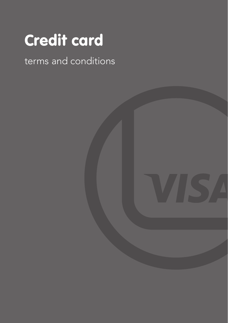# Credit card

# terms and conditions

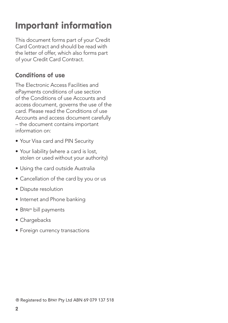# Important information

This document forms part of your Credit Card Contract and should be read with the letter of offer, which also forms part of your Credit Card Contract.

# Conditions of use

The Electronic Access Facilities and ePayments conditions of use section of the Conditions of use Accounts and access document, governs the use of the card. Please read the Conditions of use Accounts and access document carefully – the document contains important information on:

- Your Visa card and PIN Security
- Your liability (where a card is lost, stolen or used without your authority)
- Using the card outside Australia
- Cancellation of the card by you or us
- Dispute resolution
- Internet and Phone banking
- BPAY® bill payments
- Chargebacks
- Foreign currency transactions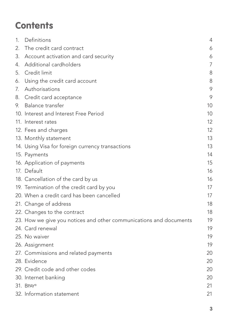# **Contents**

| 1. | Definitions                                                        | 4  |
|----|--------------------------------------------------------------------|----|
| 2. | The credit card contract                                           | 6  |
|    | 3. Account activation and card security                            | 6  |
| 4. | Additional cardholders                                             | 7  |
| 5. | Credit limit                                                       | 8  |
| 6. | Using the credit card account                                      | 8  |
| 7. | Authorisations                                                     | 9  |
|    | 8. Credit card acceptance                                          | 9  |
| 9. | Balance transfer                                                   | 10 |
|    | 10. Interest and Interest Free Period                              | 10 |
|    | 11. Interest rates                                                 | 12 |
|    | 12. Fees and charges                                               | 12 |
|    | 13. Monthly statement                                              | 13 |
|    | 14. Using Visa for foreign currency transactions                   | 13 |
|    | 15. Payments                                                       | 14 |
|    | 16. Application of payments                                        | 15 |
|    | 17. Default                                                        | 16 |
|    | 18. Cancellation of the card by us                                 | 16 |
|    | 19. Termination of the credit card by you                          | 17 |
|    | 20. When a credit card has been cancelled                          | 17 |
|    | 21. Change of address                                              | 18 |
|    | 22. Changes to the contract                                        | 18 |
|    | 23. How we give you notices and other communications and documents | 19 |
|    | 24. Card renewal                                                   | 19 |
|    | 25. No waiver                                                      | 19 |
|    | 26. Assignment                                                     | 19 |
|    | 27. Commissions and related payments                               | 20 |
|    | 28. Evidence                                                       | 20 |
|    | 29. Credit code and other codes                                    | 20 |
|    | 30. Internet banking                                               | 20 |
|    | $31.$ BPAY®                                                        | 21 |
|    | 32. Information statement                                          | 21 |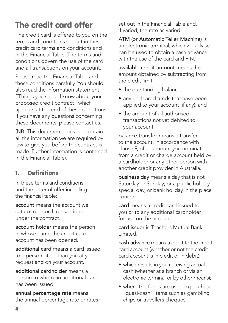# The credit card offer

The credit card is offered to you on the terms and conditions set out in these credit card terms and conditions and in the Financial Table. The terms and conditions govern the use of the card and all transactions on your account.

Please read the Financial Table and these conditions carefully. You should also read the information statement "Things you should know about your proposed credit contract" which appears at the end of these conditions. If you have any questions concerning these documents, please contact us.

(NB. This document does not contain all the information we are required by law to give you before the contract is made. Further information is contained in the Financial Table).

# 1. Definitions

In these terms and conditions and the letter of offer including the financial table:

account means the account we set up to record transactions under the contract.

account holder means the person in whose name the credit card account has been opened.

additional card means a card issued to a person other than you at your request and on your account.

additional cardholder means a person to whom an additional card has been issued.

annual percentage rate means the annual percentage rate or rates set out in the Financial Table and, if varied, the rate as varied.

ATM (or Automatic Teller Machine) is an electronic terminal, which we advise can be used to obtain a cash advance with the use of the card and PIN.

available credit amount means the amount obtained by subtracting from the credit limit:

- the outstanding balance;
- any uncleared funds that have been applied to your account (if any); and
- the amount of all authorised transactions not yet debited to your account.

balance transfer means a transfer to the account, in accordance with clause 9, of an amount you nominate from a credit or charge account held by a cardholder or any other person with another credit provider in Australia.

business day means a day that is not Saturday or Sunday; or a public holiday, special day, or bank holiday in the place concerned.

card means a credit card issued to you or to any additional cardholder for use on the account.

card issuer is Teachers Mutual Bank Limited.

cash advance means a debit to the credit card account (whether or not the credit card account is in credit or in debit):

- which results in you receiving actual cash (whether at a branch or via an electronic terminal or by other means);
- where the funds are used to purchase "quasi-cash" items such as gambling chips or travellers cheques;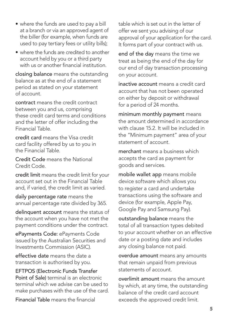- where the funds are used to pay a bill at a branch or via an approved agent of the biller (for example, when funds are used to pay tertiary fees or utility bills);
- where the funds are credited to another account held by you or a third party with us or another financial institution.

closing balance means the outstanding balance as at the end of a statement period as stated on your statement of account.

contract means the credit contract between you and us, comprising these credit card terms and conditions and the letter of offer including the Financial Table.

credit card means the Visa credit card facility offered by us to you in the Financial Table.

Credit Code means the National Credit Code.

credit limit means the credit limit for your account set out in the Financial Table and, if varied, the credit limit as varied.

daily percentage rate means the annual percentage rate divided by 365.

delinquent account means the status of the account when you have not met the payment conditions under the contract.

ePayments Code: ePayments Code issued by the Australian Securities and Investments Commission (ASIC).

effective date means the date a transaction is authorised by you.

EFTPOS (Electronic Funds Transfer Point of Sale) terminal is an electronic terminal which we advise can be used to make purchases with the use of the card.

Financial Table means the financial

table which is set out in the letter of offer we sent you advising of our approval of your application for the card. It forms part of your contract with us.

end of the day means the time we treat as being the end of the day for our end of day transaction processing on your account.

inactive account means a credit card account that has not been operated on either by deposit or withdrawal for a period of 24 months.

minimum monthly payment means the amount determined in accordance with clause 15.2. It will be included in the "Minimum payment" area of your statement of account.

merchant means a business which accepts the card as payment for goods and services.

mobile wallet app means mobile device software which allows you to register a card and undertake transactions using the software and device (for example, Apple Pay, Google Pay and Samsung Pay).

outstanding balance means the total of all transaction types debited to your account whether on an effective date or a posting date and includes any closing balance not paid.

overdue amount means any amounts that remain unpaid from previous statements of account.

overlimit amount means the amount by which, at any time, the outstanding balance of the credit card account exceeds the approved credit limit.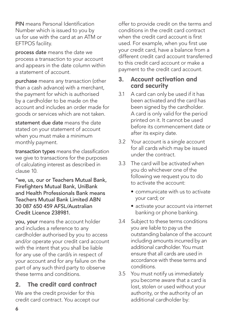PIN means Personal Identification Number which is issued to you by us for use with the card at an ATM or EFTPOS facility.

process date means the date we process a transaction to your account and appears in the date column within a statement of account.

purchase means any transaction (other than a cash advance) with a merchant, the payment for which is authorised by a cardholder to be made on the account and includes an order made for goods or services which are not taken.

statement due date means the date stated on your statement of account when you must make a minimum monthly payment.

transaction types means the classification we give to transactions for the purposes of calculating interest as described in clause 10.

"we, us, our or Teachers Mutual Bank, Firefighters Mutual Bank, UniBank and Health Professionals Bank means Teachers Mutual Bank Limited ABN 30 087 650 459 AFSL/Australian Credit Licence 238981.

you, your means the account holder and includes a reference to any cardholder authorised by you to access and/or operate your credit card account with the intent that you shall be liable for any use of the card/s in respect of your account and for any failure on the part of any such third party to observe these terms and conditions.

# 2. The credit card contract

We are the credit provider for this credit card contract. You accept our offer to provide credit on the terms and conditions in the credit card contract when the credit card account is first used. For example, when you first use your credit card, have a balance from a different credit card account transferred to this credit card account or make a payment to the credit card account.

#### 3. Account activation and card security

- 3.1 A card can only be used if it has been activated and the card has been signed by the cardholder. A card is only valid for the period printed on it. It cannot be used before its commencement date or after its expiry date.
- 3.2 Your account is a single account for all cards which may be issued under the contract.
- 3.3 The card will be activated when you do whichever one of the following we request you to do to activate the account:
	- communicate with us to activate your card; or
	- activate your account via internet banking or phone banking.
- 3.4 Subject to these terms conditions you are liable to pay us the outstanding balance of the account including amounts incurred by an additional cardholder. You must ensure that all cards are used in accordance with these terms and conditions.
- 3.5 You must notify us immediately you become aware that a card is lost, stolen or used without your authority, or the authority of an additional cardholder by: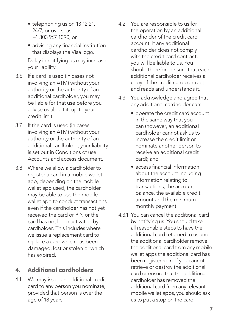- telephoning us on 13 12 21, 24/7; or overseas +1 303 967 1090; or
- advising any financial institution that displays the Visa logo.

Delay in notifying us may increase your liability.

- 3.6 If a card is used (in cases not involving an ATM) without your authority or the authority of an additional cardholder, you may be liable for that use before you advise us about it, up to your credit limit.
- 3.7 If the card is used (in cases involving an ATM) without your authority or the authority of an additional cardholder, your liability is set out in Conditions of use Accounts and access document.
- 3.8 Where we allow a cardholder to register a card in a mobile wallet app, depending on the mobile wallet app used, the cardholder may be able to use the mobile wallet app to conduct transactions even if the cardholder has not yet received the card or PIN or the card has not been activated by cardholder. This includes where we issue a replacement card to replace a card which has been damaged, lost or stolen or which has expired.

# 4. Additional cardholders

4.1 We may issue an additional credit card to any person you nominate, provided that person is over the age of 18 years.

- 4.2 You are responsible to us for the operation by an additional cardholder of the credit card account. If any additional cardholder does not comply with the credit card contract, you will be liable to us. You should therefore ensure that each additional cardholder receives a copy of the credit card contract and reads and understands it.
- 4.3 You acknowledge and agree that any additional cardholder can:
	- operate the credit card account in the same way that you can (however, an additional cardholder cannot ask us to increase the credit limit or nominate another person to receive an additional credit card); and
	- access financial information about the account including information relating to transactions, the account balance, the available credit amount and the minimum monthly payment.
- 4.3.1 You can cancel the additional card by notifying us. You should take all reasonable steps to have the additional card returned to us and the additional cardholder remove the additional card from any mobile wallet apps the additional card has been registered in. If you cannot retrieve or destroy the additional card or ensure that the additional cardholder has removed the additional card from any relevant mobile wallet apps, you should ask us to put a stop on the card.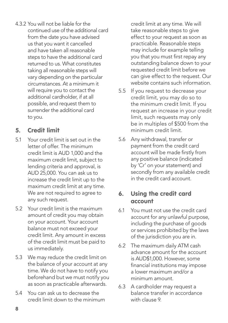4.3.2 You will not be liable for the continued use of the additional card from the date you have advised us that you want it cancelled and have taken all reasonable steps to have the additional card returned to us. What constitutes taking all reasonable steps will vary depending on the particular circumstances. At a minimum it will require you to contact the additional cardholder, if at all possible, and request them to surrender the additional card to you.

# 5. Credit limit

- 5.1 Your credit limit is set out in the letter of offer. The minimum credit limit is AUD 1,000 and the maximum credit limit, subject to lending criteria and approval, is AUD 25,000. You can ask us to increase the credit limit up to the maximum credit limit at any time. We are not required to agree to any such request.
- 5.2 Your credit limit is the maximum amount of credit you may obtain on your account. Your account balance must not exceed your credit limit. Any amount in excess of the credit limit must be paid to us immediately.
- 5.3 We may reduce the credit limit on the balance of your account at any time. We do not have to notify you beforehand but we must notify you as soon as practicable afterwards.
- 5.4 You can ask us to decrease the credit limit down to the minimum

credit limit at any time. We will take reasonable steps to give effect to your request as soon as practicable. Reasonable steps may include for example telling you that you must first repay any outstanding balance down to your requested credit limit before we can give effect to the request. Our website contains such information.

- 5.5 If you request to decrease your credit limit, you may do so to the minimum credit limit. If you request an increase in your credit limit, such requests may only be in multiples of \$500 from the minimum credit limit.
- 5.6 Any withdrawal, transfer or payment from the credit card account will be made firstly from any positive balance (indicated by 'Cr' on your statement) and secondly from any available credit in the credit card account.

# 6. Using the credit card account

- 6.1 You must not use the credit card account for any unlawful purpose, including the purchase of goods or services prohibited by the laws of the jurisdiction you are in.
- 6.2 The maximum daily ATM cash advance amount for the account is AUD\$1,000. However, some financial institutions may impose a lower maximum and/or a minimum amount.
- 6.3 A cardholder may request a balance transfer in accordance with clause 9.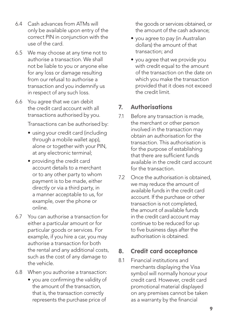- 6.4 Cash advances from ATMs will only be available upon entry of the correct PIN in conjunction with the use of the card.
- 6.5 We may choose at any time not to authorise a transaction. We shall not be liable to you or anyone else for any loss or damage resulting from our refusal to authorise a transaction and you indemnify us in respect of any such loss.
- 6.6 You agree that we can debit the credit card account with all transactions authorised by you.

Transactions can be authorised by:

- using your credit card (including through a mobile wallet app), alone or together with your PIN, at any electronic terminal;
- providing the credit card account details to a merchant or to any other party to whom payment is to be made, either directly or via a third party, in a manner acceptable to us, for example, over the phone or online.
- 6.7 You can authorise a transaction for either a particular amount or for particular goods or services. For example, if you hire a car, you may authorise a transaction for both the rental and any additional costs, such as the cost of any damage to the vehicle.

6.8 When you authorise a transaction:

• you are confirming the validity of the amount of the transaction, that is, the transaction correctly represents the purchase price of

the goods or services obtained, or the amount of the cash advance;

- you agree to pay (in Australian dollars) the amount of that transaction; and
- you agree that we provide you with credit equal to the amount of the transaction on the date on which you make the transaction provided that it does not exceed the credit limit.

# 7. Authorisations

- 7.1 Before any transaction is made, the merchant or other person involved in the transaction may obtain an authorisation for the transaction. This authorisation is for the purpose of establishing that there are sufficient funds available in the credit card account for the transaction.
- 7.2 Once the authorisation is obtained, we may reduce the amount of available funds in the credit card account. If the purchase or other transaction is not completed, the amount of available funds in the credit card account may continue to be reduced for up to five business days after the authorisation is obtained.

# 8. Credit card acceptance

8.1 Financial institutions and merchants displaying the Visa symbol will normally honour your credit card. However, credit card promotional material displayed on any premises cannot be taken as a warranty by the financial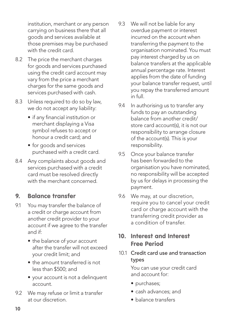institution, merchant or any person carrying on business there that all goods and services available at those premises may be purchased with the credit card.

- 8.2 The price the merchant charges for goods and services purchased using the credit card account may vary from the price a merchant charges for the same goods and services purchased with cash.
- 8.3 Unless required to do so by law, we do not accept any liability:
	- if any financial institution or merchant displaying a Visa symbol refuses to accept or honour a credit card; and
	- for goods and services purchased with a credit card.
- 8.4 Any complaints about goods and services purchased with a credit card must be resolved directly with the merchant concerned

# 9. Balance transfer

- 9.1 You may transfer the balance of a credit or charge account from another credit provider to your account if we agree to the transfer and if:
	- the balance of your account after the transfer will not exceed your credit limit; and
	- the amount transferred is not less than \$500; and
	- your account is not a delinquent account.
- 9.2 We may refuse or limit a transfer at our discretion.
- 9.3 We will not be liable for any overdue payment or interest incurred on the account when transferring the payment to the organisation nominated. You must pay interest charged by us on balance transfers at the applicable annual percentage rate. Interest applies from the date of funding your balance transfer request, until you repay the transferred amount in full.
- 9.4 In authorising us to transfer any funds to pay an outstanding balance from another credit/ store card account(s), it is not our responsibility to arrange closure of the account(s). This is your responsibility.
- 9.5 Once your balance transfer has been forwarded to the organisation you have nominated, no responsibility will be accepted by us for delays in processing the payment.
- 9.6 We may, at our discretion, require you to cancel your credit card or charge account with the transferring credit provider as a condition of transfer.

### 10. Interest and Interest Free Period

#### 10.1 Credit card use and transaction types

You can use your credit card and account for:

- purchases;
- cash advances; and
- balance transfers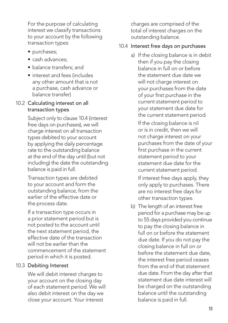For the purpose of calculating interest we classify transactions to your account by the following transaction types:

- purchases:
- cash advances;
- balance transfers; and
- interest and fees (includes any other amount that is not a purchase, cash advance or balance transfer)

#### 10.2 Calculating interest on all transaction types

Subject only to clause 10.4 (interest free days on purchases), we will charge interest on all transaction types debited to your account by applying the daily percentage rate to the outstanding balance at the end of the day until (but not including) the date the outstanding balance is paid in full.

Transaction types are debited to your account and form the outstanding balance, from the earlier of the effective date or the process date.

If a transaction type occurs in a prior statement period but is not posted to the account until the next statement period, the effective date of the transaction will not be earlier than the commencement of the statement period in which it is posted.

#### 10.3 Debiting Interest

We will debit interest charges to your account on the closing day of each statement period. We will also debit interest on the day we close your account. Your interest

charges are comprised of the total of interest charges on the outstanding balance.

#### 10.4 Interest free days on purchases

a) If the closing balance is in debit then if you pay the closing balance in full on or before the statement due date we will not charge interest on your purchases from the date of your first purchase in the current statement period to your statement due date for the current statement period.

 If the closing balance is nil or is in credit, then we will not charge interest on your purchases from the date of your first purchase in the current statement period to your statement due date for the current statement period.

 If interest free days apply, they only apply to purchases. There are no interest free days for other transaction types.

b) The length of an interest free period for a purchase may be up to 55 days provided you continue to pay the closing balance in full on or before the statement due date. If you do not pay the closing balance in full on or before the statement due date, the interest free period ceases from the end of that statement due date. From the day after that statement due date interest will be charged on the outstanding balance until the outstanding balance is paid in full.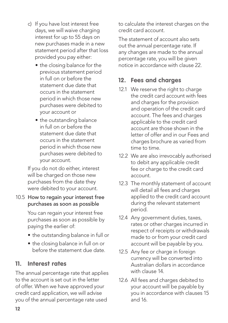- c) If you have lost interest free days, we will waive charging interest for up to 55 days on new purchases made in a new statement period after that loss provided you pay either:
	- the closing balance for the previous statement period in full on or before the statement due date that occurs in the statement period in which those new purchases were debited to your account or
	- the outstanding balance in full on or before the statement due date that occurs in the statement period in which those new purchases were debited to your account.

If you do not do either, interest will be charged on those new purchases from the date they were debited to your account.

#### 10.5 How to regain your interest free purchases as soon as possible

You can regain your interest free purchases as soon as possible by paying the earlier of:

- the outstanding balance in full or
- the closing balance in full on or before the statement due date.

# 11. Interest rates

The annual percentage rate that applies to the account is set out in the letter of offer. When we have approved your credit card application, we will advise you of the annual percentage rate used

to calculate the interest charges on the credit card account.

The statement of account also sets out the annual percentage rate. If any changes are made to the annual percentage rate, you will be given notice in accordance with clause 22.

### 12. Fees and charges

- 12.1 We reserve the right to charge the credit card account with fees and charges for the provision and operation of the credit card account. The fees and charges applicable to the credit card account are those shown in the letter of offer and in our Fees and charges brochure as varied from time to time.
- 12.2 We are also irrevocably authorised to debit any applicable credit fee or charge to the credit card account.
- 12.3 The monthly statement of account will detail all fees and charges applied to the credit card account during the relevant statement period.
- 12.4 Any government duties, taxes, rates or other charges incurred in respect of receipts or withdrawals made to or from your credit card account will be payable by you.
- 12.5 Any fee or charge in foreign currency will be converted into Australian dollars in accordance with clause 14.
- 12.6 All fees and charges debited to your account will be payable by you in accordance with clauses 15 and 16.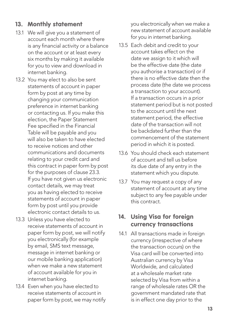# 13. Monthly statement

- 13.1 We will give you a statement of account each month where there is any financial activity or a balance on the account or at least every six months by making it available for you to view and download in internet banking.
- 13.2 You may elect to also be sent statements of account in paper form by post at any time by changing your communication preference in internet banking or contacting us. If you make this election, the Paper Statement Fee specified in the Financial Table will be payable and you will also be taken to have elected to receive notices and other communications and documents relating to your credit card and this contract in paper form by post for the purposes of clause 23.3. If you have not given us electronic contact details, we may treat you as having elected to receive statements of account in paper form by post until you provide electronic contact details to us.
- 13.3 Unless you have elected to receive statements of account in paper form by post, we will notify you electronically (for example by email, SMS text message, message in internet banking or our mobile banking application) when we make a new statement of account available for you in internet banking.
- 13.4 Even when you have elected to receive statements of account in paper form by post, we may notify

you electronically when we make a new statement of account available for you in internet banking.

- 13.5 Each debit and credit to your account takes effect on the date we assign to it which will be the effective date (the date you authorise a transaction) or if there is no effective date then the process date (the date we process a transaction to your account). If a transaction occurs in a prior statement period but is not posted to the account until the next statement period, the effective date of the transaction will not be backdated further than the commencement of the statement period in which it is posted.
- 13.6 You should check each statement of account and tell us before its due date of any entry in the statement which you dispute.
- 13.7 You may request a copy of any statement of account at any time subject to any fee payable under this contract.

# 14. Using Visa for foreign currency transactions

14.1 All transactions made in foreign currency (irrespective of where the transaction occurs) on the Visa card will be converted into Australian currency by Visa Worldwide, and calculated at a wholesale market rate selected by Visa from within a range of wholesale rates OR the government mandated rate that is in effect one day prior to the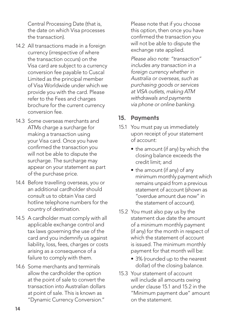Central Processing Date (that is, the date on which Visa processes the transaction).

- 14.2 All transactions made in a foreign currency (irrespective of where the transaction occurs) on the Visa card are subject to a currency conversion fee payable to Cuscal Limited as the principal member of Visa Worldwide under which we provide you with the card. Please refer to the Fees and charges brochure for the current currency conversion fee.
- 14.3 Some overseas merchants and ATMs charge a surcharge for making a transaction using your Visa card. Once you have confirmed the transaction you will not be able to dispute the surcharge. The surcharge may appear on your statement as part of the purchase price.
- 14.4 Before travelling overseas, you or an additional cardholder should consult us to obtain Visa card hotline telephone numbers for the country of destination.
- 14.5 A cardholder must comply with all applicable exchange control and tax laws governing the use of the card and you indemnify us against liability, loss, fees, charges or costs arising as a consequence of a failure to comply with them.
- 14.6 Some merchants and terminals allow the cardholder the option at the point of sale to convert the transaction into Australian dollars at point of sale. This is known as "Dynamic Currency Conversion."

Please note that if you choose this option, then once you have confirmed the transaction you will not be able to dispute the exchange rate applied.

*Please also note: "transaction" includes any transaction in a foreign currency whether in Australia or overseas, such as purchasing goods or services at VISA outlets, making ATM withdrawals and payments via phone or online banking.*

#### 15. Payments

- 15.1 You must pay us immediately upon receipt of your statement of account:
	- the amount (if any) by which the closing balance exceeds the credit limit; and
	- the amount (if any) of any minimum monthly payment which remains unpaid from a previous statement of account (shown as "overdue amount due now" in the statement of account).
- 15.2 You must also pay us by the statement due date the amount of a minimum monthly payment (if any) for the month in respect of which the statement of account is issued. The minimum monthly payment for that month will be:
	- 3% (rounded up to the nearest dollar) of the closing balance.
- 15.3 Your statement of account will include all amounts owing under clause 15.1 and 15.2 in the "Minimum payment due" amount on the statement.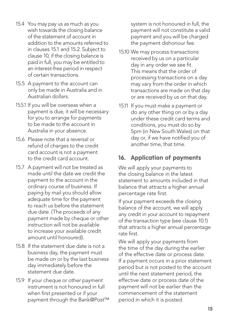- 15.4 You may pay us as much as you wish towards the closing balance of the statement of account in addition to the amounts referred to in clauses 15.1 and 15.2. Subject to clause 10, if the closing balance is paid in full, you may be entitled to an interest-free period in respect of certain transactions.
- 15.5 A payment to the account can only be made in Australia and in Australian dollars.
- 15.5.1 If you will be overseas when a payment is due, it will be necessary for you to arrange for payments to be made to the account in Australia in your absence.
- 15.6 Please note that a reversal or refund of charges to the credit card account is not a payment to the credit card account.
- 15.7 A payment will not be treated as made until the date we credit the payment to the account in the ordinary course of business. If paying by mail you should allow adequate time for the payment to reach us before the statement due date. (The proceeds of any payment made by cheque or other instruction will not be available to increase your available credit amount until honoured).
- 15.8 If the statement due date is not a business day, the payment must be made on or by the last business day immediately before the statement due date.
- 15.9 If your cheque or other payment instrument is not honoured in full when first presented or if your payment through the Bank@Post™

system is not honoured in full, the payment will not constitute a valid payment and you will be charged the payment dishonour fee.

- 15.10 We may process transactions received by us on a particular day in any order we see fit. This means that the order of processing transactions on a day may vary from the order in which transactions are made on that day or are received by us on that day.
- 15.11 If you must make a payment or do any other thing on or by a day under these credit card terms and conditions, you must do so by 5pm (in New South Wales) on that day or, if we have notified you of another time, that time.

# 16. Application of payments

We will apply your payments to the closing balance in the latest statement to amounts included in that balance that attracts a higher annual percentage rate first.

If your payment exceeds the closing balance of the account, we will apply any credit in your account to repayment of the transaction type (see clause 10.1) that attracts a higher annual percentage rate first.

We will apply your payments from the time of the day during the earlier of the effective date or process date. If a payment occurs in a prior statement period but is not posted to the account until the next statement period, the effective date or process date of the payment will not be earlier than the commencement of the statement period in which it is posted.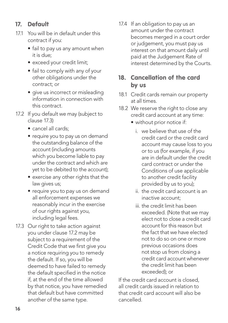# 17. Default

- 171 You will be in default under this contract if you:
	- fail to pay us any amount when it is due;
	- exceed your credit limit;
	- fail to comply with any of your other obligations under the contract; or
	- give us incorrect or misleading information in connection with this contract.
- 17.2 If you default we may (subject to clause 17.3)
	- cancel all cards;
	- require you to pay us on demand the outstanding balance of the account (including amounts which you become liable to pay under the contract and which are yet to be debited to the account);
	- exercise any other rights that the law gives us;
	- require you to pay us on demand all enforcement expenses we reasonably incur in the exercise of our rights against you, including legal fees.
- 17.3 Our right to take action against you under clause 17.2 may be subject to a requirement of the Credit Code that we first give you a notice requiring you to remedy the default. If so, you will be deemed to have failed to remedy the default specified in the notice if, at the end of the time allowed by that notice, you have remedied that default but have committed another of the same type.

17.4 If an obligation to pay us an amount under the contract becomes merged in a court order or judgement, you must pay us interest on that amount daily until paid at the Judgement Rate of interest determined by the Courts.

# 18. Cancellation of the card by us

- 18.1 Credit cards remain our property at all times.
- 18.2 We reserve the right to close any credit card account at any time:
	- without prior notice if:
		- i. we believe that use of the credit card or the credit card account may cause loss to you or to us (for example, if you are in default under the credit card contract or under the Conditions of use applicable to another credit facility provided by us to you);
		- ii. the credit card account is an inactive account;
		- iii. the credit limit has been exceeded. (Note that we may elect not to close a credit card account for this reason but the fact that we have elected not to do so on one or more previous occasions does not stop us from closing a credit card account whenever the credit limit has been exceeded); or

If the credit card account is closed, all credit cards issued in relation to that credit card account will also be cancelled.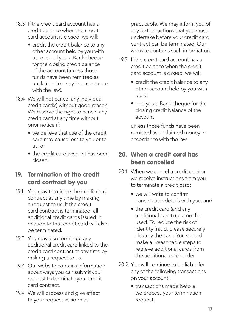- 18.3 If the credit card account has a credit balance when the credit card account is closed, we will:
	- credit the credit balance to any other account held by you with us, or send you a Bank cheque for the closing credit balance of the account (unless those funds have been remitted as unclaimed money in accordance with the law).
- 18.4 We will not cancel any individual credit card(s) without good reason. We reserve the right to cancel any credit card at any time without prior notice if:
	- we believe that use of the credit card may cause loss to you or to us; or
	- the credit card account has been closed.

### 19. Termination of the credit card contract by you

- 19.1 You may terminate the credit card contract at any time by making a request to us. If the credit card contract is terminated, all additional credit cards issued in relation to that credit card will also be terminated.
- 19.2 You may also terminate any additional credit card linked to the credit card contract at any time by making a request to us.
- 19.3 Our website contains information about ways you can submit your request to terminate your credit card contract.
- 19.4 We will process and give effect to your request as soon as

practicable. We may inform you of any further actions that you must undertake before your credit card contract can be terminated. Our website contains such information.

- 19.5 If the credit card account has a credit balance when the credit card account is closed, we will:
	- credit the credit balance to any other account held by you with us, or
	- end you a Bank cheque for the closing credit balance of the account

unless those funds have been remitted as unclaimed money in accordance with the law.

# 20. When a credit card has been cancelled

- 20.1 When we cancel a credit card or we receive instructions from you to terminate a credit card:
	- we will write to confirm cancellation details with you; and
	- the credit card (and any additional card) must not be used. To reduce the risk of identity fraud, please securely destroy the card. You should make all reasonable steps to retrieve additional cards from the additional cardholder.
- 20.2 You will continue to be liable for any of the following transactions on your account:
	- transactions made before we process your termination request;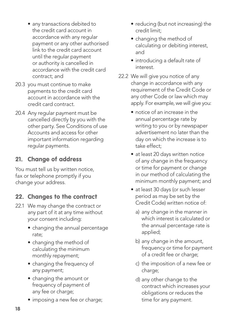- any transactions debited to the credit card account in accordance with any regular payment or any other authorised link to the credit card account until the regular payment or authority is cancelled in accordance with the credit card contract; and
- 20.3 you must continue to make payments to the credit card account in accordance with the credit card contract.
- 20.4 Any regular payment must be cancelled directly by you with the other party. See Conditions of use Accounts and access for other important information regarding regular payments.

# 21. Change of address

You must tell us by written notice, fax or telephone promptly if you change your address.

# 22. Changes to the contract

- 22.1 We may change the contract or any part of it at any time without your consent including:
	- changing the annual percentage rate;
	- changing the method of calculating the minimum monthly repayment;
	- changing the frequency of any payment;
	- changing the amount or frequency of payment of any fee or charge;
	- imposing a new fee or charge;
- reducing (but not increasing) the credit limit;
- changing the method of calculating or debiting interest, and
- introducing a default rate of interest.
- 22.2 We will give you notice of any change in accordance with any requirement of the Credit Code or any other Code or law which may apply. For example, we will give you:
	- notice of an increase in the annual percentage rate by writing to you or by newspaper advertisement no later than the day on which the increase is to take effect;
	- at least 20 days written notice of any change in the frequency or time for payment or change in our method of calculating the minimum monthly payment; and
	- at least 30 days (or such lesser period as may be set by the Credit Code) written notice of:
		- a) any change in the manner in which interest is calculated or the annual percentage rate is applied;
		- b) any change in the amount, frequency or time for payment of a credit fee or charge;
		- c) the imposition of a new fee or charge;
		- d) any other change to the contract which increases your obligations or reduces the time for any payment.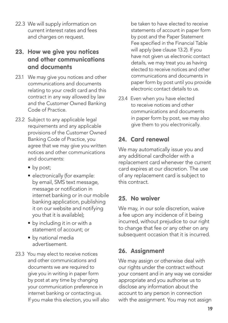22.3 We will supply information on current interest rates and fees and charges on request.

### 23. How we give you notices and other communications and documents

- 23.1 We may give you notices and other communications and documents relating to your credit card and this contract in any way allowed by law and the Customer Owned Banking Code of Practice.
- 23.2 Subject to any applicable legal requirements and any applicable provisions of the Customer Owned Banking Code of Practice, you agree that we may give you written notices and other communications and documents:
	- by post;
	- electronically (for example: by email, SMS text message, message or notification in internet banking or in our mobile banking application, publishing it on our website and notifying you that it is available);
	- by including it in or with a statement of account; or
	- by national media advertisement.
- 23.3 You may elect to receive notices and other communications and documents we are required to give you in writing in paper form by post at any time by changing your communication preference in internet banking or contacting us. If you make this election, you will also

be taken to have elected to receive statements of account in paper form by post and the Paper Statement Fee specified in the Financial Table will apply (see clause 13.2). If you have not given us electronic contact details, we may treat you as having elected to receive notices and other communications and documents in paper form by post until you provide electronic contact details to us.

23.4 Even when you have elected to receive notices and other communications and documents in paper form by post, we may also give them to you electronically.

# 24. Card renewal

We may automatically issue you and any additional cardholder with a replacement card whenever the current card expires at our discretion. The use of any replacement card is subject to this contract.

# 25. No waiver

We may, in our sole discretion, waive a fee upon any incidence of it being incurred, without prejudice to our right to change that fee or any other on any subsequent occasion that it is incurred.

# 26. Assignment

We may assign or otherwise deal with our rights under the contract without your consent and in any way we consider appropriate and you authorise us to disclose any information about the account to any person in connection with the assignment. You may not assign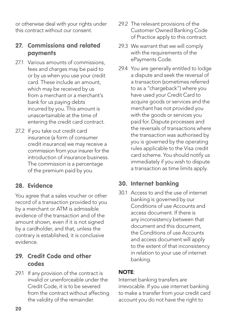or otherwise deal with your rights under this contract without our consent.

# 27. Commissions and related payments

- 27.1 Various amounts of commissions. fees and charges may be paid to or by us when you use your credit card. These include an amount, which may be received by us from a merchant or a merchant's bank for us paying debts incurred by you. This amount is unascertainable at the time of entering the credit card contract.
- 27.2 If you take out credit card insurance (a form of consumer credit insurance) we may receive a commission from your insurer for the introduction of insurance business. The commission is a percentage of the premium paid by you.

# 28. Evidence

You agree that a sales voucher or other record of a transaction provided to you by a merchant or ATM is admissible evidence of the transaction and of the amount shown, even if it is not signed by a cardholder, and that, unless the contrary is established, it is conclusive evidence.

# 29. Credit Code and other codes

29.1 If any provision of the contract is invalid or unenforceable under the Credit Code, it is to be severed from the contract without affecting the validity of the remainder.

- 29.2 The relevant provisions of the Customer Owned Banking Code of Practice apply to this contract.
- 29.3 We warrant that we will comply with the requirements of the ePayments Code.
- 29.4 You are generally entitled to lodge a dispute and seek the reversal of a transaction (sometimes referred to as a "chargeback") where you have used your Credit Card to acquire goods or services and the merchant has not provided you with the goods or services you paid for. Dispute processes and the reversals of transactions where the transaction was authorised by you is governed by the operating rules applicable to the Visa credit card scheme. You should notify us immediately if you wish to dispute a transaction as time limits apply.

# 30. Internet banking

30.1 Access to and the use of internet banking is governed by our Conditions of use Accounts and access document. If there is any inconsistency between that document and this document, the Conditions of use Accounts and access document will apply to the extent of that inconsistency in relation to your use of internet banking.

#### NOTE:

Internet banking transfers are irrevocable. If you use internet banking to make a transfer from your credit card account you do not have the right to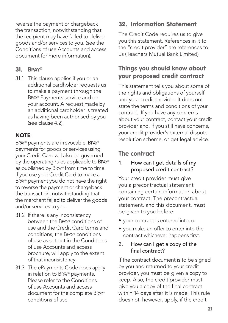reverse the payment or chargeback the transaction, notwithstanding that the recipient may have failed to deliver goods and/or services to you. (see the Conditions of use Accounts and access document for more information).

#### 31. BPAY®

31.1 This clause applies if you or an additional cardholder requests us to make a payment through the BPAY® Payments service and on your account. A request made by an additional cardholder is treated as having been authorised by you (see clause 4.2).

#### NOTE:

BPAY® payments are irrevocable. BPAY® payments for goods or services using your Credit Card will also be governed by the operating rules applicable to BPAY® as published by BPAY® from time to time. If you use your Credit Card to make a BPAY® payment you do not have the right to reverse the payment or chargeback the transaction, notwithstanding that the merchant failed to deliver the goods and/or services to you.

- 31.2 If there is any inconsistency between the BPAY® conditions of use and the Credit Card terms and conditions, the BPAY® conditions of use as set out in the Conditions of use Accounts and access brochure, will apply to the extent of that inconsistency.
- 31.3 The ePayments Code does apply in relation to BPAY® payments. Please refer to the Conditions of use Accounts and access document for the complete BPAY® conditions of use.

# 32. Information Statement

The Credit Code requires us to give you this statement. References in it to the "credit provider" are references to us (Teachers Mutual Bank Limited).

# Things you should know about your proposed credit contract

This statement tells you about some of the rights and obligations of yourself and your credit provider. It does not state the terms and conditions of your contract. If you have any concerns about your contract, contact your credit provider and, if you still have concerns, your credit provider's external dispute resolution scheme, or get legal advice.

# The contract

#### 1. How can I get details of my proposed credit contract?

Your credit provider must give you a precontractual statement containing certain information about your contract. The precontractual statement, and this document, must be given to you before:

- your contract is entered into; or
- you make an offer to enter into the contract whichever happens first.

#### 2. How can I get a copy of the final contract?

If the contract document is to be signed by you and returned to your credit provider, you must be given a copy to keep. Also, the credit provider must give you a copy of the final contract within 14 days after it is made. This rule does not, however, apply, if the credit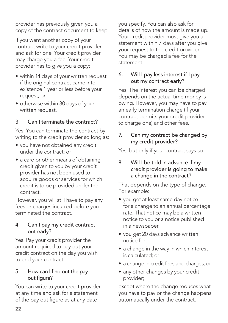provider has previously given you a copy of the contract document to keep.

If you want another copy of your contract write to your credit provider and ask for one. Your credit provider may charge you a fee. Your credit provider has to give you a copy:

- within 14 days of your written request if the original contract came into existence 1 year or less before your request; or
- otherwise within 30 days of your written request.

#### 3. Can I terminate the contract?

Yes. You can terminate the contract by writing to the credit provider so long as:

- you have not obtained any credit under the contract; or
- a card or other means of obtaining credit given to you by your credit provider has not been used to acquire goods or services for which credit is to be provided under the contract.

However, you will still have to pay any fees or charges incurred before you terminated the contract.

#### 4. Can I pay my credit contract out early?

Yes. Pay your credit provider the amount required to pay out your credit contract on the day you wish to end your contract.

#### 5. How can I find out the pay out figure?

You can write to your credit provider at any time and ask for a statement of the pay out figure as at any date

you specify. You can also ask for details of how the amount is made up. Your credit provider must give you a statement within 7 days after you give your request to the credit provider. You may be charged a fee for the statement.

#### 6. Will I pay less interest if I pay out my contract early?

Yes. The interest you can be charged depends on the actual time money is owing. However, you may have to pay an early termination charge (if your contract permits your credit provider to charge one) and other fees.

#### 7. Can my contract be changed by my credit provider?

Yes, but only if your contract says so.

#### 8. Will I be told in advance if my credit provider is going to make a change in the contract?

That depends on the type of change. For example:

- you get at least same day notice for a change to an annual percentage rate. That notice may be a written notice to you or a notice published in a newspaper.
- you get 20 days advance written notice for:
- a change in the way in which interest is calculated; or
- a change in credit fees and charges; or
- any other changes by your credit provider;

except where the change reduces what you have to pay or the change happens automatically under the contract.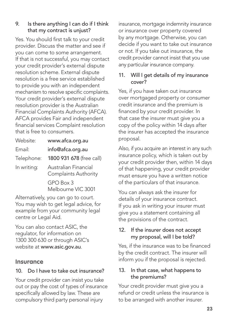#### 9. Is there anything I can do if I think that my contract is unjust?

Yes. You should first talk to your credit provider. Discuss the matter and see if you can come to some arrangement. If that is not successful, you may contact your credit provider's external dispute resolution scheme. External dispute resolution is a free service established to provide you with an independent mechanism to resolve specific complaints. Your credit provider's external dispute resolution provider is the Australian Financial Complaints Authority (AFCA). AFCA provides Fair and independent financial services Complaint resolution that is free to consumers.

| Website:    | www.afca.org.au                                     |
|-------------|-----------------------------------------------------|
| Email:      | info@afca.org.au                                    |
| Telephone:  | 1800 931 678 (free call)                            |
| In writing: | Australian Financial<br><b>Complaints Authority</b> |
|             | $GPO$ Box 3<br>Melbourne VIC 3001                   |

Alternatively, you can go to court. You may wish to get legal advice, for example from your community legal centre or Legal Aid.

You can also contact ASIC, the regulator, for information on 1300 300 630 or through ASIC's website at www.asic.gov.au.

#### **Insurance**

#### 10. Do I have to take out insurance?

Your credit provider can insist you take out or pay the cost of types of insurance specifically allowed by law. These are compulsory third party personal injury

insurance, mortgage indemnity insurance or insurance over property covered by any mortgage. Otherwise, you can decide if you want to take out insurance or not. If you take out insurance, the credit provider cannot insist that you use any particular insurance company.

#### 11. Will I get details of my insurance cover?

Yes, if you have taken out insurance over mortgaged property or consumer credit insurance and the premium is financed by your credit provider. In that case the insurer must give you a copy of the policy within 14 days after the insurer has accepted the insurance proposal.

Also, if you acquire an interest in any such insurance policy, which is taken out by your credit provider then, within 14 days of that happening, your credit provider must ensure you have a written notice of the particulars of that insurance.

You can always ask the insurer for details of your insurance contract. If you ask in writing your insurer must give you a statement containing all the provisions of the contract.

#### 12. If the insurer does not accept my proposal, will I be told?

Yes, if the insurance was to be financed by the credit contract. The insurer will inform you if the proposal is rejected.

#### 13. In that case, what happens to the premiums?

Your credit provider must give you a refund or credit unless the insurance is to be arranged with another insurer.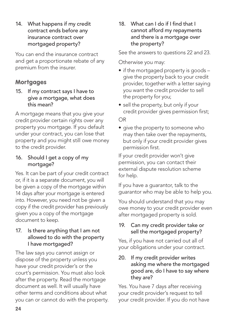14. What happens if my credit contract ends before any insurance contract over mortgaged property?

You can end the insurance contract and get a proportionate rebate of any premium from the insurer.

# **Mortgages**

15. If my contract says I have to give a mortgage, what does this mean?

A mortgage means that you give your credit provider certain rights over any property you mortgage. If you default under your contract, you can lose that property and you might still owe money to the credit provider.

#### 16. Should I get a copy of my mortgage?

Yes. It can be part of your credit contract or, if it is a separate document, you will be given a copy of the mortgage within 14 days after your mortgage is entered into. However, you need not be given a copy if the credit provider has previously given you a copy of the mortgage document to keep.

#### 17. Is there anything that I am not allowed to do with the property I have mortgaged?

The law says you cannot assign or dispose of the property unless you have your credit provider's or the court's permission. You must also look after the property. Read the mortgage document as well. It will usually have other terms and conditions about what you can or cannot do with the property. 18. What can I do if I find that I cannot afford my repayments and there is a mortgage over the property?

See the answers to questions 22 and 23.

Otherwise you may:

• if the mortgaged property is goods give the property back to your credit provider, together with a letter saying you want the credit provider to sell the property for you;

• sell the property, but only if your credit provider gives permission first;

OR

• give the property to someone who may then take over the repayments, but only if your credit provider gives permission first.

If your credit provider won't give permission, you can contact their external dispute resolution scheme for help.

If you have a guarantor, talk to the guarantor who may be able to help you.

You should understand that you may owe money to your credit provider even after mortgaged property is sold.

#### 19. Can my credit provider take or sell the mortgaged property?

Yes, if you have not carried out all of your obligations under your contract.

#### 20. If my credit provider writes asking me where the mortgaged good are, do I have to say where they are?

Yes. You have 7 days after receiving your credit provider's request to tell your credit provider. If you do not have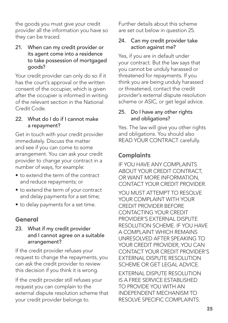the goods you must give your credit provider all the information you have so they can be traced.

#### 21. When can my credit provider or its agent come into a residence to take possession of mortgaged goods?

Your credit provider can only do so if it has the court's approval or the written consent of the occupier, which is given after the occupier is informed in writing of the relevant section in the National Credit Code.

#### 22. What do I do if I cannot make a repayment?

Get in touch with your credit provider immediately. Discuss the matter and see if you can come to some arrangement. You can ask your credit provider to change your contract in a number of ways, for example:

- to extend the term of the contract and reduce repayments; or
- to extend the term of your contract and delay payments for a set time;
- to delay payments for a set time.

# General

#### 23. What if my credit provider and I cannot agree on a suitable arrangement?

If the credit provider refuses your request to change the repayments, you can ask the credit provider to review this decision if you think it is wrong.

If the credit provider still refuses your request you can complain to the external dispute resolution scheme that your credit provider belongs to.

Further details about this scheme are set out below in question 25.

#### 24. Can my credit provider take action against me?

Yes, if you are in default under your contract. But the law says that you cannot be unduly harassed or threatened for repayments. If you think you are being unduly harassed or threatened, contact the credit provider's external dispute resolution scheme or ASIC, or get legal advice.

#### 25. Do I have any other rights and obligations?

Yes. The law will give you other rights and obligations. You should also READ YOUR CONTRACT carefully.

# **Complaints**

IF YOU HAVE ANY COMPLAINTS ABOUT YOUR CREDIT CONTRACT, OR WANT MORE INFORMATION, CONTACT YOUR CREDIT PROVIDER.

YOU MUST ATTEMPT TO RESOLVE YOUR COMPLAINT WITH YOUR CREDIT PROVIDER BEFORE CONTACTING YOUR CREDIT PROVIDER'S EXTERNAL DISPUTE RESOLUTION SCHEME. IF YOU HAVE A COMPLAINT WHICH REMAINS UNRESOLVED AFTER SPEAKING TO YOUR CREDIT PROVIDER, YOU CAN CONTACT YOUR CREDIT PROVIDER'S EXTERNAL DISPUTE RESOLUTION SCHEME OR GET LEGAL ADVICE.

EXTERNAL DISPUTE RESOLUTION IS A FREE SERVICE ESTABLISHED TO PROVIDE YOU WITH AN INDEPENDENT MECHANISM TO RESOLVE SPECIFIC COMPLAINTS.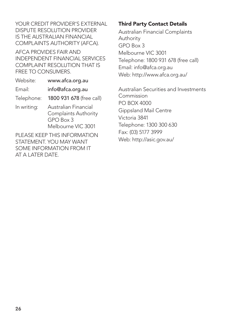YOUR CREDIT PROVIDER'S EXTERNAL DISPUTE RESOLUTION PROVIDER IS THE AUSTRALIAN FINANCIAL COMPLAINTS AUTHORITY (AFCA).

AFCA PROVIDES FAIR AND INDEPENDENT FINANCIAL SERVICES COMPLAINT RESOLUTION THAT IS FREE TO CONSUMERS.

| Website:                      | www.afca.org.au                                                                          |  |  |
|-------------------------------|------------------------------------------------------------------------------------------|--|--|
| Email:                        | info@afca.org.au                                                                         |  |  |
| Telephone:                    | 1800 931 678 (free call)                                                                 |  |  |
| In writing:                   | Australian Financial<br><b>Complaints Authority</b><br>$GPO$ Box 3<br>Melbourne VIC 3001 |  |  |
| PI FASE KEEP THIS INFORMATION |                                                                                          |  |  |

PLEASE KEEP THIS INFORMATION STATEMENT. YOU MAY WANT SOME INFORMATION FROM IT AT A LATER DATE.

#### Third Party Contact Details

Australian Financial Complaints Authority GPO Box 3 Melbourne VIC 3001 Telephone: 1800 931 678 (free call) Email: info@afca.org.au Web: http://www.afca.org.au/

Australian Securities and Investments Commission PO BOX 4000 Gippsland Mail Centre Victoria 3841 Telephone: 1300 300 630 Fax: (03) 5177 3999 Web: http://asic.gov.au/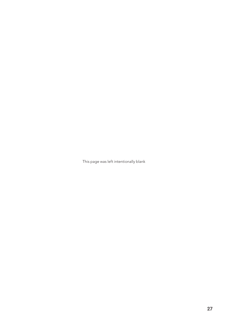This page was left intentionally blank